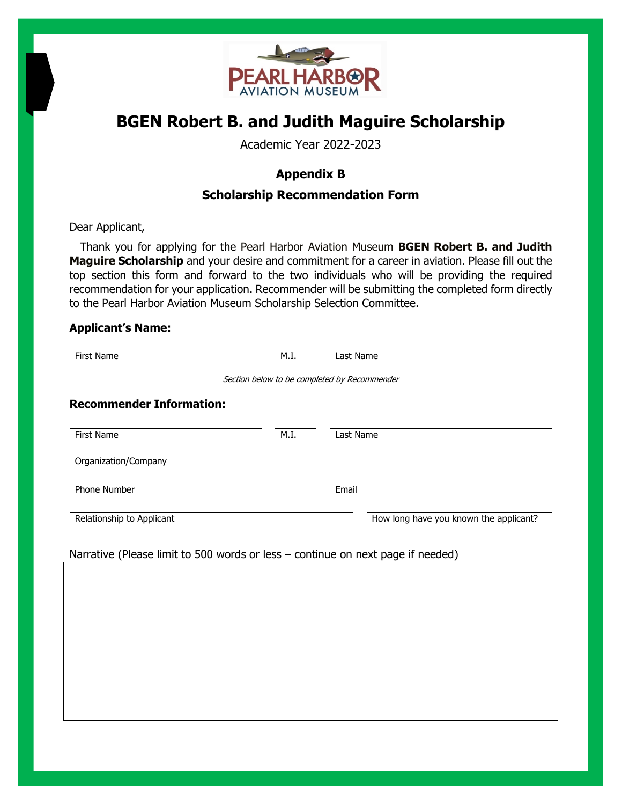

# **BGEN Robert B. and Judith Maguire Scholarship**

Academic Year 2022-2023

## **Appendix B**

## **Scholarship Recommendation Form**

Dear Applicant,

 Thank you for applying for the Pearl Harbor Aviation Museum **BGEN Robert B. and Judith Maguire Scholarship** and your desire and commitment for a career in aviation. Please fill out the top section this form and forward to the two individuals who will be providing the required recommendation for your application. Recommender will be submitting the completed form directly to the Pearl Harbor Aviation Museum Scholarship Selection Committee.

### **Applicant's Name:**

| <b>First Name</b>                                                               | M.I.                                         | Last Name                              |
|---------------------------------------------------------------------------------|----------------------------------------------|----------------------------------------|
|                                                                                 | Section below to be completed by Recommender |                                        |
| <b>Recommender Information:</b>                                                 |                                              |                                        |
| <b>First Name</b>                                                               | M.I.                                         | Last Name                              |
| Organization/Company                                                            |                                              |                                        |
| <b>Phone Number</b>                                                             |                                              | Email                                  |
| Relationship to Applicant                                                       |                                              | How long have you known the applicant? |
| Narrative (Please limit to 500 words or less - continue on next page if needed) |                                              |                                        |
|                                                                                 |                                              |                                        |
|                                                                                 |                                              |                                        |